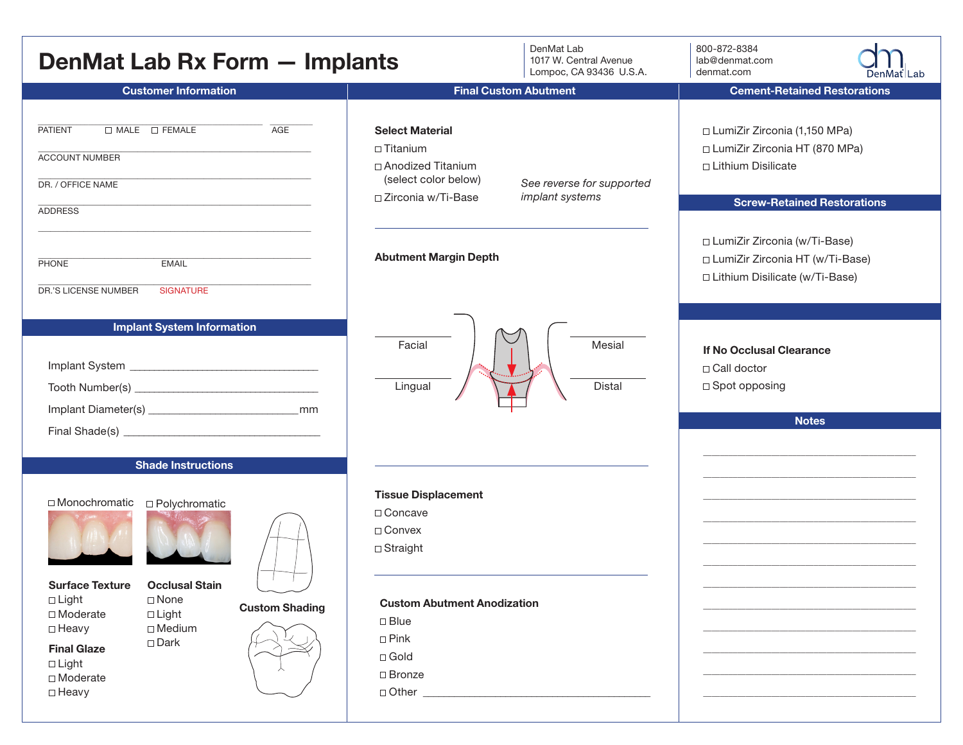| DenMat Lab Rx Form - Implants                                                                                                                                                                                                                                                            | DenMat Lab<br>1017 W. Central Avenue<br>Lompoc, CA 93436 U.S.A.                                                                                                                                              | 800-872-8384<br>lab@denmat.com<br>denmat.com<br>DenMat   Lab                                                                                                                                                                               |
|------------------------------------------------------------------------------------------------------------------------------------------------------------------------------------------------------------------------------------------------------------------------------------------|--------------------------------------------------------------------------------------------------------------------------------------------------------------------------------------------------------------|--------------------------------------------------------------------------------------------------------------------------------------------------------------------------------------------------------------------------------------------|
| <b>Customer Information</b>                                                                                                                                                                                                                                                              | <b>Final Custom Abutment</b>                                                                                                                                                                                 | <b>Cement-Retained Restorations</b>                                                                                                                                                                                                        |
| AGE<br><b>PATIENT</b><br>$\Box$ MALE $\Box$ FEMALE<br><b>ACCOUNT NUMBER</b><br>DR. / OFFICE NAME<br><b>ADDRESS</b><br><b>EMAIL</b><br><b>PHONE</b>                                                                                                                                       | <b>Select Material</b><br>$\Box$ Titanium<br>□ Anodized Titanium<br>(select color below)<br>See reverse for supported<br>implant systems<br>□ Zirconia w/Ti-Base<br><b>Abutment Margin Depth</b>             | □ LumiZir Zirconia (1,150 MPa)<br>□ LumiZir Zirconia HT (870 MPa)<br>□ Lithium Disilicate<br><b>Screw-Retained Restorations</b><br>□ LumiZir Zirconia (w/Ti-Base)<br>□ LumiZir Zirconia HT (w/Ti-Base)<br>□ Lithium Disilicate (w/Ti-Base) |
| DR.'S LICENSE NUMBER<br><b>SIGNATURE</b><br><b>Implant System Information</b><br><b>Shade Instructions</b>                                                                                                                                                                               | Mesial<br>Facial<br>Lingual<br>Distal                                                                                                                                                                        | If No Occlusal Clearance<br>□ Call doctor<br>□ Spot opposing<br><b>Notes</b>                                                                                                                                                               |
| □ Monochromatic<br>□ Polychromatic<br><b>Occlusal Stain</b><br><b>Surface Texture</b><br>$\Box$ Light<br>$\Box$ None<br><b>Custom Shading</b><br>□ Moderate<br>$\Box$ Light<br>$\Box$ Medium<br>□ Heavy<br>$\square$ Dark<br><b>Final Glaze</b><br>$\Box$ Light<br>□ Moderate<br>□ Heavy | <b>Tissue Displacement</b><br>□ Concave<br>$\Box$ Convex<br>$\Box$ Straight<br><b>Custom Abutment Anodization</b><br>$\square$ Blue<br>$\square$ Pink<br>$\Box$ Gold<br>$\Box$ Bronze<br>$\Box$ Other $\Box$ |                                                                                                                                                                                                                                            |